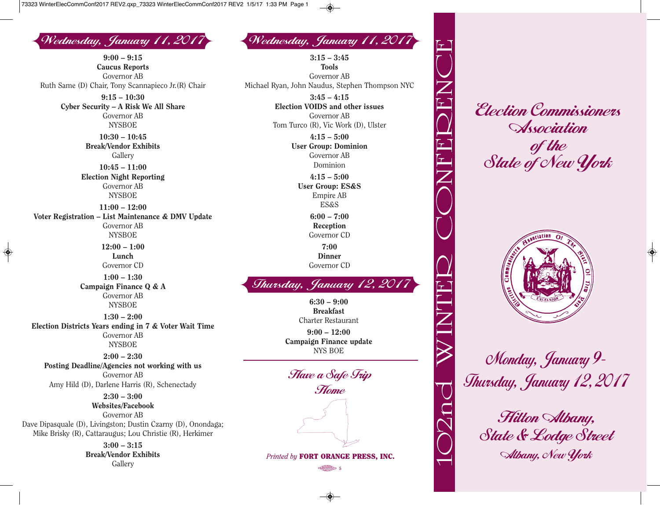Wednesday, January 11, 2017 Wednesday, January 11, 2017

**9:00 – 9:15 Caucus Reports** Governor AB Ruth Same (D) Chair, Tony Scannapieco Jr.(R) Chair **9:15 – 10:30 Cyber Security – A Risk We All Share** Governor AB NYSBOE **10:30 – 10:45 Break/Vendor Exhibits Gallery 10:45 – 11:00 Election Night Reporting** Governor AB **NYSBOE 11:00 – 12:00 Voter Registration – List Maintenance & DMV Update** Governor AB NYSBOE **12:00 – 1:00 Lunch** Governor CD **1:00 – 1:30 Campaign Finance Q & A** Governor AB NYSBOE **1:30 – 2:00 Election Districts Years ending in 7 & Voter Wait Time** Governor AB NYSBOE **2:00 – 2:30 Posting Deadline/Agencies not working with us** Governor AB Amy Hild (D), Darlene Harris (R), Schenectady **2:30 – 3:00**

◈

**Websites/Facebook** Governor AB Dave Dipasquale (D), Livingston; Dustin Czarny (D), Onondaga; Mike Brisky (R), Cattaraugus; Lou Christie (R), Herkimer

> **3:00 – 3:15 Break/Vendor Exhibits Gallery**

**3:15 – 3:45 Tools** Governor AB Michael Ryan, John Naudus, Stephen Thompson NYC **3:45 – 4:15 Election VOIDS and other issues** Governor AB Tom Turco (R), Vic Work (D), Ulster **4:15 – 5:00 User Group: Dominion** Governor AB Dominion **4:15 – 5:00 User Group: ES&S** Empire AB ES&S **6:00 – 7:00 Reception** Governor CD **7:00 Dinner** Governor CD

## Thursday, January 12, 2017

**6:30 – 9:00 Breakfast** Charter Restaurant **9:00 – 12:00 Campaign Finance update** NYS BOE

Have a Safe Trip Home

*Printed by* **FORT ORANGE PRESS, INC.**  $\frac{1}{2}$ 

Election Commissioners **Association** of the State of New York



Monday, January 9- Thursday, January 12, 2017

Hilton Albany, State & Lodge Street Albany, New York

 $\overline{\phantom{0}}$ 

 $\bigcirc$ 

 $\sum$ 

**n** 

**d** 

 $\bigtimes$ 

 $\equiv$  $\boldsymbol{\mathsf{Z}}$ 

T

 $\Box$ 

 $\Omega$ 

 $\bigcup$ 

 $\bigcirc$ 

 $\boldsymbol{\mathsf{Z}}$ 

 $\left| \mathbf{r} \right|$ 

 $\Box$ 

 $\Omega$ 

 $\Box$ 

 $\boldsymbol{\mathsf{Z}}$ 

 $\bigcup$ 

 $\tau^-$